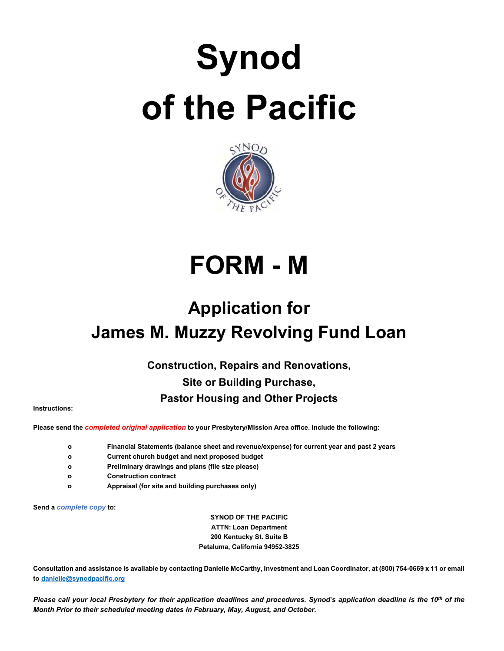# **Synod of the Pacific**



## **FORM - M**

### **Application for James M. Muzzy Revolving Fund Loan**

**Construction, Repairs and Renovations, Site or Building Purchase,** 

#### **Pastor Housing and Other Projects**

**Instructions:**

**Please send the** *completed original application* **to your Presbytery/Mission Area office. Include the following:**

- **o Financial Statements (balance sheet and revenue/expense) for current year and past 2 years**
- **o Current church budget and next proposed budget**
- **o Preliminary drawings and plans (file size please)**
- **o Construction contract**
- **o Appraisal (for site and building purchases only)**

**Send a** *complete copy* **to:**

**SYNOD OF THE PACIFIC ATTN: Loan Department 200 Kentucky St. Suite B Petaluma, California 94952-3825**

**Consultation and assistance is available by contacting Danielle McCarthy, Investment and Loan Coordinator, at (800) 754-0669 x 11 or email to [danielle@synodpacific.org](mailto:danielle@synodpacific.org)**

*Please call your local Presbytery for their application deadlines and procedures. Synod's application deadline is the 10<sup>th</sup> of the Month Prior to their scheduled meeting dates in February, May, August, and October.*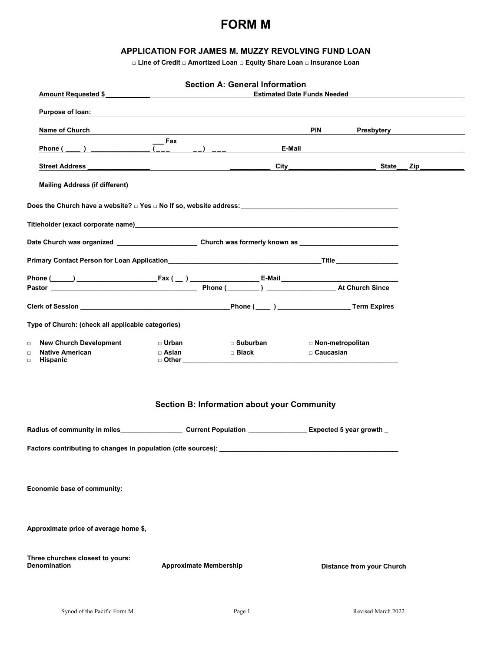#### **FORM M**

#### **APPLICATION FOR JAMES M. MUZZY REVOLVING FUND LOAN**

**□ Line of Credit □ Amortized Loan □ Equity Share Loan □ Insurance Loan**

| Amount Requested \$                                                                                                                                                                                                                 |                               | <b>Section A: General Information</b>              | <b>Estimated Date Funds Needed</b> |                              |
|-------------------------------------------------------------------------------------------------------------------------------------------------------------------------------------------------------------------------------------|-------------------------------|----------------------------------------------------|------------------------------------|------------------------------|
| <b>Purpose of loan:</b> the contract of the contract of the contract of the contract of the contract of the contract of the contract of the contract of the contract of the contract of the contract of the contract of the contrac |                               |                                                    |                                    |                              |
| Name of Church                                                                                                                                                                                                                      |                               |                                                    | <b>PIN</b>                         | <b>Presbytery Example 20</b> |
| Phone (                                                                                                                                                                                                                             | Fax<br>$\frac{1}{2}$          | $\left( -\right)$ $\left( -\right)$                | E-Mail                             |                              |
| <b>Street Address</b>                                                                                                                                                                                                               |                               |                                                    | <b>City City City</b>              | State___ Zip________         |
|                                                                                                                                                                                                                                     |                               |                                                    |                                    |                              |
|                                                                                                                                                                                                                                     |                               |                                                    |                                    |                              |
|                                                                                                                                                                                                                                     |                               |                                                    |                                    |                              |
| Date Church was organized __________________________________Church was formerly known as _____________________                                                                                                                      |                               |                                                    |                                    |                              |
|                                                                                                                                                                                                                                     |                               |                                                    |                                    |                              |
|                                                                                                                                                                                                                                     |                               |                                                    |                                    |                              |
|                                                                                                                                                                                                                                     |                               |                                                    |                                    |                              |
| Type of Church: (check all applicable categories)                                                                                                                                                                                   |                               |                                                    |                                    |                              |
| <b>New Church Development</b><br>$\Box$                                                                                                                                                                                             | □ Urban                       | $\Box$ Suburban                                    | □ Non-metropolitan                 |                              |
| <b>Native American</b><br>$\Box$<br><b>Hispanic</b><br>$\Box$                                                                                                                                                                       | □ Asian                       | □ Black                                            | $\square$ Caucasian                |                              |
|                                                                                                                                                                                                                                     |                               | <b>Section B: Information about your Community</b> |                                    |                              |
| Radius of community in miles example the current Population example and Expected 5 year growth                                                                                                                                      |                               |                                                    |                                    |                              |
|                                                                                                                                                                                                                                     |                               |                                                    |                                    |                              |
| Economic base of community:                                                                                                                                                                                                         |                               |                                                    |                                    |                              |
| Approximate price of average home \$,                                                                                                                                                                                               |                               |                                                    |                                    |                              |
| Three churches closest to yours:<br><b>Denomination</b>                                                                                                                                                                             | <b>Approximate Membership</b> |                                                    | <b>Distance from your Church</b>   |                              |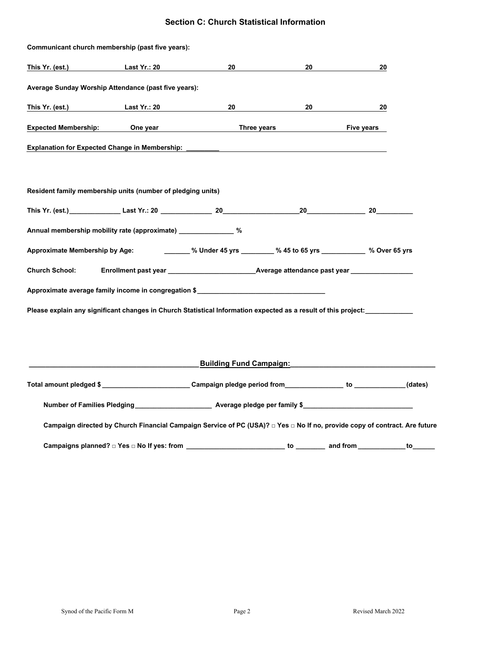#### **Section C: Church Statistical Information**

|                              | Communicant church membership (past five years):                                                                           |    |                                             |          |  |
|------------------------------|----------------------------------------------------------------------------------------------------------------------------|----|---------------------------------------------|----------|--|
| This Yr. (est.) Last Yr.: 20 |                                                                                                                            | 20 | 20                                          | 20       |  |
|                              | Average Sunday Worship Attendance (past five years):                                                                       |    |                                             |          |  |
|                              | This Yr. (est.) Last Yr.: 20                                                                                               | 20 |                                             | 20<br>20 |  |
|                              | Expected Membership: One year                                                                                              |    | Three years Three years                     |          |  |
|                              | Explanation for Expected Change in Membership: _________                                                                   |    |                                             |          |  |
|                              |                                                                                                                            |    |                                             |          |  |
|                              | Resident family membership units (number of pledging units)                                                                |    |                                             |          |  |
|                              |                                                                                                                            |    |                                             |          |  |
|                              | Annual membership mobility rate (approximate) ________________ %                                                           |    |                                             |          |  |
|                              | Approximate Membership by Age: _______ % Under 45 yrs _______ % 45 to 65 yrs _________ % Over 65 yrs                       |    |                                             |          |  |
| <b>Church School:</b>        |                                                                                                                            |    |                                             |          |  |
|                              | Approximate average family income in congregation \$                                                                       |    |                                             |          |  |
|                              | Please explain any significant changes in Church Statistical Information expected as a result of this project:             |    |                                             |          |  |
|                              |                                                                                                                            |    |                                             |          |  |
|                              |                                                                                                                            |    |                                             |          |  |
|                              |                                                                                                                            |    | <b>Building Fund Campaign: Example 2014</b> |          |  |
|                              | Total amount pledged \$ ______________________________Campaign pledge period from _______________ to ____________(dates)   |    |                                             |          |  |
|                              | Number of Families Pledging ____________________________ Average pledge per family \$________________________________      |    |                                             |          |  |
|                              | Campaign directed by Church Financial Campaign Service of PC (USA)? □ Yes □ No If no, provide copy of contract. Are future |    |                                             |          |  |
|                              | Campaigns planned? □ Yes □ No If yes: from __________________________ to ________ and from ____________ to _______         |    |                                             |          |  |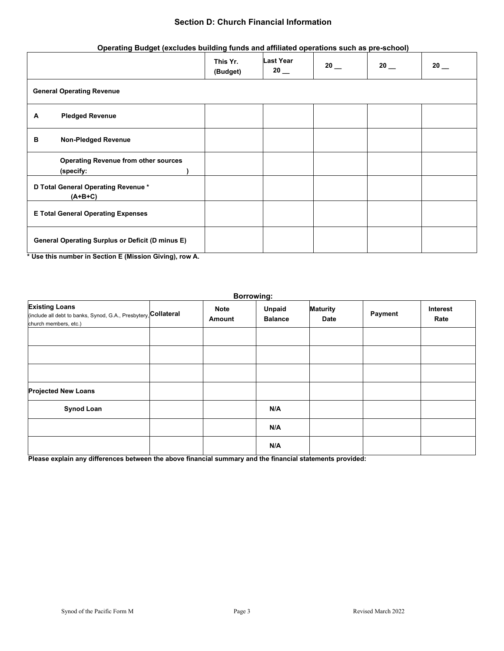#### **Section D: Church Financial Information**

#### **Operating Budget (excludes building funds and affiliated operations such as pre-school)**

|   |                                                          | This Yr.<br>(Budget) | <b>Last Year</b><br>$20$ $-$ | 20 | 20 | 20 |  |
|---|----------------------------------------------------------|----------------------|------------------------------|----|----|----|--|
|   | <b>General Operating Revenue</b>                         |                      |                              |    |    |    |  |
| A | <b>Pledged Revenue</b>                                   |                      |                              |    |    |    |  |
| в | <b>Non-Pledged Revenue</b>                               |                      |                              |    |    |    |  |
|   | <b>Operating Revenue from other sources</b><br>(specify: |                      |                              |    |    |    |  |
|   | D Total General Operating Revenue *<br>$(A+B+C)$         |                      |                              |    |    |    |  |
|   | <b>E Total General Operating Expenses</b>                |                      |                              |    |    |    |  |
|   | <b>General Operating Surplus or Deficit (D minus E)</b>  |                      |                              |    |    |    |  |

**\* Use this number in Section E (Mission Giving), row A.**

| <b>Borrowing:</b>                                                                                                 |  |                       |                                 |                                |         |                  |
|-------------------------------------------------------------------------------------------------------------------|--|-----------------------|---------------------------------|--------------------------------|---------|------------------|
| <b>Existing Loans</b><br>(include all debt to banks, Synod, G.A., Presbytery, Collateral<br>church members, etc.) |  | <b>Note</b><br>Amount | <b>Unpaid</b><br><b>Balance</b> | <b>Maturity</b><br><b>Date</b> | Payment | Interest<br>Rate |
|                                                                                                                   |  |                       |                                 |                                |         |                  |
|                                                                                                                   |  |                       |                                 |                                |         |                  |
|                                                                                                                   |  |                       |                                 |                                |         |                  |
| <b>Projected New Loans</b>                                                                                        |  |                       |                                 |                                |         |                  |
| <b>Synod Loan</b>                                                                                                 |  |                       | N/A                             |                                |         |                  |
|                                                                                                                   |  |                       | N/A                             |                                |         |                  |
|                                                                                                                   |  |                       | N/A                             |                                |         |                  |

**Please explain any differences between the above financial summary and the financial statements provided:**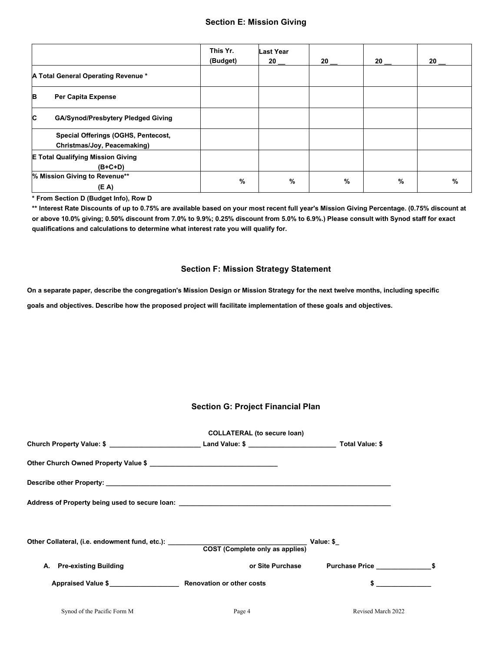|   |                                                                    | This Yr.<br>(Budget) | <b>Last Year</b><br>20 | 20 |   | 20 | 20 |
|---|--------------------------------------------------------------------|----------------------|------------------------|----|---|----|----|
|   | A Total General Operating Revenue *                                |                      |                        |    |   |    |    |
| в | <b>Per Capita Expense</b>                                          |                      |                        |    |   |    |    |
| C | <b>GA/Synod/Presbytery Pledged Giving</b>                          |                      |                        |    |   |    |    |
|   | Special Offerings (OGHS, Pentecost,<br>Christmas/Joy, Peacemaking) |                      |                        |    |   |    |    |
|   | <b>E Total Qualifying Mission Giving</b><br>$(B+C+D)$              |                      |                        |    |   |    |    |
|   | % Mission Giving to Revenue**<br>(E A)                             | $\frac{9}{6}$        | %                      |    | % | %  | %  |

**\* From Section D (Budget Info), Row D**

**\*\* Interest Rate Discounts of up to 0.75% are available based on your most recent full year's Mission Giving Percentage. (0.75% discount at or above 10.0% giving; 0.50% discount from 7.0% to 9.9%; 0.25% discount from 5.0% to 6.9%.) Please consult with Synod staff for exact qualifications and calculations to determine what interest rate you will qualify for.**

#### **Section F: Mission Strategy Statement**

**On a separate paper, describe the congregation's Mission Design or Mission Strategy for the next twelve months, including specific** 

**goals and objectives. Describe how the proposed project will facilitate implementation of these goals and objectives.**

#### **Section G: Project Financial Plan**

|                             | <b>COLLATERAL (to secure loan)</b> |                    |  |
|-----------------------------|------------------------------------|--------------------|--|
|                             |                                    |                    |  |
|                             |                                    |                    |  |
|                             |                                    |                    |  |
|                             |                                    |                    |  |
|                             |                                    |                    |  |
|                             |                                    |                    |  |
| A. Pre-existing Building    | or Site Purchase                   |                    |  |
|                             |                                    |                    |  |
| Synod of the Pacific Form M | Page 4                             | Revised March 2022 |  |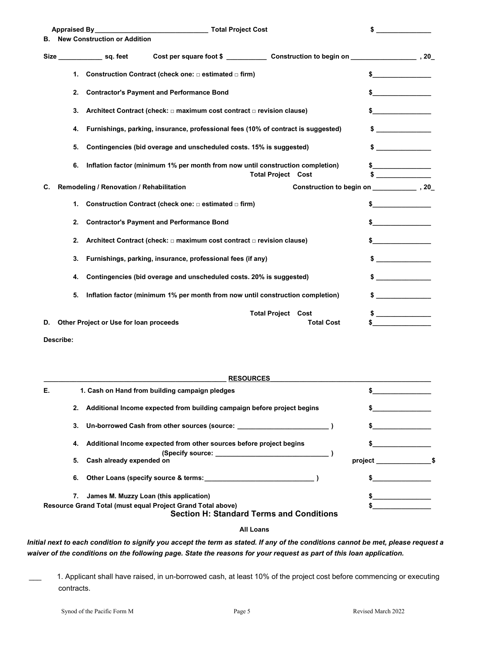| <b>Appraised By</b> |    | <b>Total Project Cost</b>                |                                                                                   |                           |                   |                         |
|---------------------|----|------------------------------------------|-----------------------------------------------------------------------------------|---------------------------|-------------------|-------------------------|
| В.                  |    | <b>New Construction or Addition</b>      |                                                                                   |                           |                   |                         |
|                     |    | Size sq. feet                            |                                                                                   |                           |                   |                         |
|                     | 1. |                                          | Construction Contract (check one: $\Box$ estimated $\Box$ firm)                   |                           |                   | \$                      |
|                     | 2. |                                          | <b>Contractor's Payment and Performance Bond</b>                                  |                           |                   |                         |
|                     | 3. |                                          | Architect Contract (check: $\Box$ maximum cost contract $\Box$ revision clause)   |                           |                   |                         |
|                     | 4. |                                          | Furnishings, parking, insurance, professional fees (10% of contract is suggested) |                           |                   |                         |
|                     | 5. |                                          | Contingencies (bid overage and unscheduled costs. 15% is suggested)               |                           |                   | \$                      |
|                     | 6. |                                          | Inflation factor (minimum 1% per month from now until construction completion)    | <b>Total Project Cost</b> |                   |                         |
| C.                  |    | Remodeling / Renovation / Rehabilitation |                                                                                   |                           |                   |                         |
|                     | 1. |                                          | Construction Contract (check one: $\Box$ estimated $\Box$ firm)                   |                           |                   | \$                      |
|                     | 2. |                                          | <b>Contractor's Payment and Performance Bond</b>                                  |                           |                   |                         |
|                     | 2. |                                          | Architect Contract (check: $\Box$ maximum cost contract $\Box$ revision clause)   |                           |                   |                         |
|                     | 3. |                                          | Furnishings, parking, insurance, professional fees (if any)                       |                           |                   | <u> 1986 - Jan Sara</u> |
|                     | 4. |                                          | Contingencies (bid overage and unscheduled costs. 20% is suggested)               |                           |                   |                         |
|                     | 5. |                                          | Inflation factor (minimum 1% per month from now until construction completion)    |                           |                   |                         |
|                     |    |                                          |                                                                                   | <b>Total Project</b>      | Cost              |                         |
| D.                  |    | Other Project or Use for loan proceeds   |                                                                                   |                           | <b>Total Cost</b> | \$                      |

**Describe:**

|    | <b>RESOURCES</b>                                                                                               |         |  |
|----|----------------------------------------------------------------------------------------------------------------|---------|--|
| Е. | 1. Cash on Hand from building campaign pledges                                                                 |         |  |
|    | 2. Additional Income expected from building campaign before project begins                                     |         |  |
|    | 3. Un-borrowed Cash from other sources (source:                                                                |         |  |
|    | 4. Additional Income expected from other sources before project begins                                         |         |  |
|    | 5. Cash already expended on                                                                                    | project |  |
|    | 6. Other Loans (specify source & terms: Sample 2011)                                                           |         |  |
|    | James M. Muzzy Loan (this application)                                                                         |         |  |
|    | Resource Grand Total (must equal Project Grand Total above)<br><b>Section H: Standard Terms and Conditions</b> |         |  |

#### **All Loans**

*Initial next to each condition to signify you accept the term as stated. If any of the conditions cannot be met, please request a waiver of the conditions on the following page. State the reasons for your request as part of this loan application.*

1. Applicant shall have raised, in un-borrowed cash, at least 10% of the project cost before commencing or executing contracts.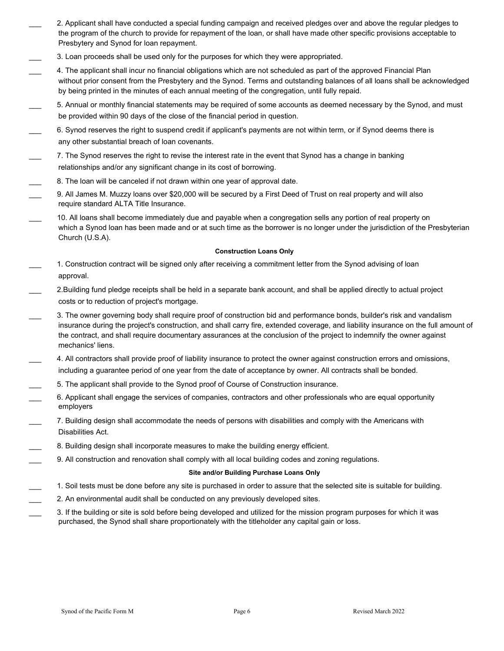- \_\_\_ 2. Applicant shall have conducted a special funding campaign and received pledges over and above the regular pledges to the program of the church to provide for repayment of the loan, or shall have made other specific provisions acceptable to Presbytery and Synod for loan repayment.
- \_\_\_ 3. Loan proceeds shall be used only for the purposes for which they were appropriated.
- \_\_\_ 4. The applicant shall incur no financial obligations which are not scheduled as part of the approved Financial Plan without prior consent from the Presbytery and the Synod. Terms and outstanding balances of all loans shall be acknowledged by being printed in the minutes of each annual meeting of the congregation, until fully repaid.
- \_\_\_ 5. Annual or monthly financial statements may be required of some accounts as deemed necessary by the Synod, and must be provided within 90 days of the close of the financial period in question.
- \_\_\_ 6. Synod reserves the right to suspend credit if applicant's payments are not within term, or if Synod deems there is any other substantial breach of loan covenants.
- \_\_\_ 7. The Synod reserves the right to revise the interest rate in the event that Synod has a change in banking relationships and/or any significant change in its cost of borrowing.
- 8. The loan will be canceled if not drawn within one year of approval date.
- 9. All James M. Muzzy loans over \$20,000 will be secured by a First Deed of Trust on real property and will also require standard ALTA Title Insurance.
- 10. All loans shall become immediately due and payable when a congregation sells any portion of real property on which a Synod loan has been made and or at such time as the borrower is no longer under the jurisdiction of the Presbyterian Church (U.S.A).

#### **Construction Loans Only**

- 1. Construction contract will be signed only after receiving a commitment letter from the Synod advising of loan approval.
- \_\_\_ 2.Building fund pledge receipts shall be held in a separate bank account, and shall be applied directly to actual project costs or to reduction of project's mortgage.
- \_\_\_ 3. The owner governing body shall require proof of construction bid and performance bonds, builder's risk and vandalism insurance during the project's construction, and shall carry fire, extended coverage, and liability insurance on the full amount of the contract, and shall require documentary assurances at the conclusion of the project to indemnify the owner against mechanics' liens.
- \_\_\_ 4. All contractors shall provide proof of liability insurance to protect the owner against construction errors and omissions, including a guarantee period of one year from the date of acceptance by owner. All contracts shall be bonded.
- \_\_\_ 5. The applicant shall provide to the Synod proof of Course of Construction insurance.
- \_\_\_ 6. Applicant shall engage the services of companies, contractors and other professionals who are equal opportunity employers
- \_\_\_ 7. Building design shall accommodate the needs of persons with disabilities and comply with the Americans with Disabilities Act.
- 8. Building design shall incorporate measures to make the building energy efficient.
- \_\_\_ 9. All construction and renovation shall comply with all local building codes and zoning regulations.

#### **Site and/or Building Purchase Loans Only**

- \_\_\_ 1. Soil tests must be done before any site is purchased in order to assure that the selected site is suitable for building.
	- 2. An environmental audit shall be conducted on any previously developed sites.
- \_\_\_ 3. If the building or site is sold before being developed and utilized for the mission program purposes for which it was purchased, the Synod shall share proportionately with the titleholder any capital gain or loss.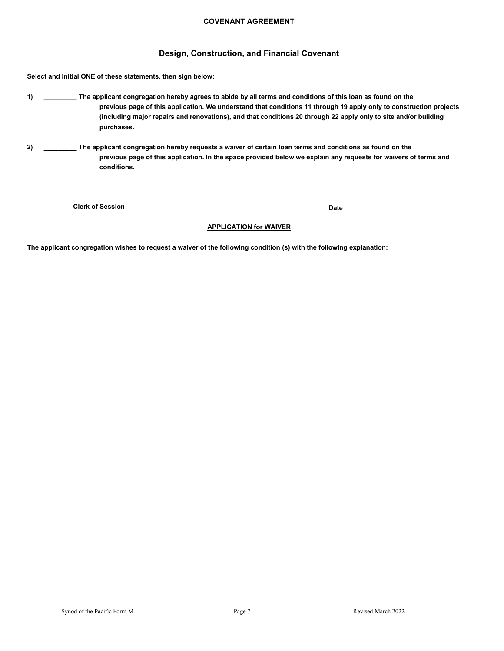#### **COVENANT AGREEMENT**

#### **Design, Construction, and Financial Covenant**

**Select and initial ONE of these statements, then sign below:**

- **1) \_\_\_\_\_\_\_\_\_ The applicant congregation hereby agrees to abide by all terms and conditions of this loan as found on the previous page of this application. We understand that conditions 11 through 19 apply only to construction projects (including major repairs and renovations), and that conditions 20 through 22 apply only to site and/or building purchases.**
- **2) \_\_\_\_\_\_\_\_\_ The applicant congregation hereby requests a waiver of certain loan terms and conditions as found on the previous page of this application. In the space provided below we explain any requests for waivers of terms and conditions.**

**Clerk of Session**

**Date**

#### **APPLICATION for WAIVER**

**The applicant congregation wishes to request a waiver of the following condition (s) with the following explanation:**